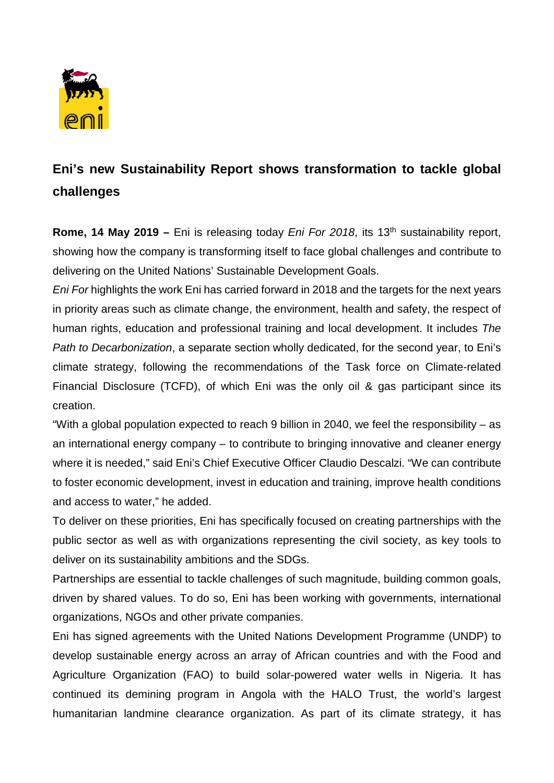

## **Eni's new Sustainability Report shows transformation to tackle global challenges**

**Rome, 14 May 2019 –** Eni is releasing today *Eni For 2018*, its 13<sup>th</sup> sustainability report, showing how the company is transforming itself to face global challenges and contribute to delivering on the United Nations' Sustainable Development Goals.

*Eni For* highlights the work Eni has carried forward in 2018 and the targets for the next years in priority areas such as climate change, the environment, health and safety, the respect of human rights, education and professional training and local development. It includes *The Path to Decarbonization*, a separate section wholly dedicated, for the second year, to Eni's climate strategy, following the recommendations of the Task force on Climate-related Financial Disclosure (TCFD), of which Eni was the only oil & gas participant since its creation.

"With a global population expected to reach 9 billion in 2040, we feel the responsibility – as an international energy company – to contribute to bringing innovative and cleaner energy where it is needed," said Eni's Chief Executive Officer Claudio Descalzi. "We can contribute to foster economic development, invest in education and training, improve health conditions and access to water," he added.

To deliver on these priorities, Eni has specifically focused on creating partnerships with the public sector as well as with organizations representing the civil society, as key tools to deliver on its sustainability ambitions and the SDGs.

Partnerships are essential to tackle challenges of such magnitude, building common goals, driven by shared values. To do so, Eni has been working with governments, international organizations, NGOs and other private companies.

Eni has signed agreements with the United Nations Development Programme (UNDP) to develop sustainable energy across an array of African countries and with the Food and Agriculture Organization (FAO) to build solar-powered water wells in Nigeria. It has continued its demining program in Angola with the HALO Trust, the world's largest humanitarian landmine clearance organization. As part of its climate strategy, it has